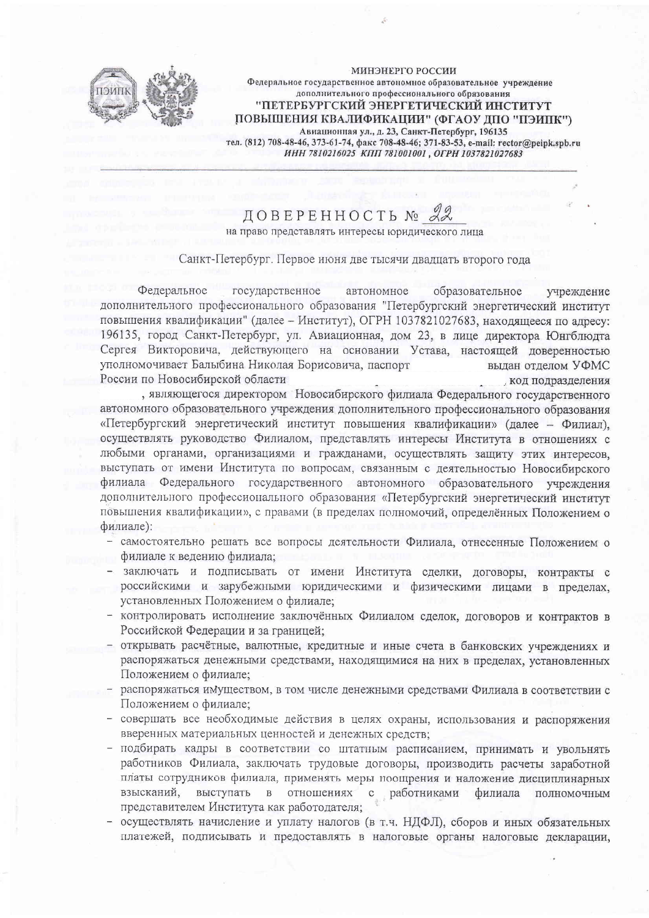

**МИНЭНЕРГО РОССИИ** Федеральное государственное автономное образовательное учреждение дополнительного профессионального образования "ПЕТЕРБУРГСКИЙ ЭНЕРГЕТИЧЕСКИЙ ИНСТИТУТ ПОВЫШЕНИЯ КВАЛИФИКАЦИИ" (ФГАОУ ЛПО "ПЭИПК") Авиационная ул., д. 23, Санкт-Петербург, 196135 тел. (812) 708-48-46, 373-61-74, факс 708-48-46; 371-83-53, e-mail: rector@peipk.spb.ru ИНН 7810216025 КПП 781001001 . ОГРН 1037821027683

## ДОВЕРЕННОСТЬ № на право представлять интересы юридического лица

## Санкт-Петербург. Первое июня две тысячи двадцать второго года

Федеральное государственное автономное образовательное үчреждение дополнительного профессионального образования "Петербургский энергетический институт повышения квалификации" (далее - Институт), ОГРН 1037821027683, находящееся по адресу: 196135, город Санкт-Петербург, ул. Авиационная, дом 23, в лице директора Юнгблюдта Сергея Викторовича, действующего на основании Устава, настоящей доверенностью уполномочивает Балыбина Николая Борисовича, паспорт вылан отлелом УФМС России по Новосибирской области код подразделения

, являющегося директором Новосибирского филиала Федерального государственного автономного образовательного учреждения дополнительного профессионального образования «Петербургский энергетический институт повышения квалификации» (далее - Филиал), осуществлять руководство Филиалом, представлять интересы Института в отношениях с любыми органами, организациями и гражданами, осуществлять защиту этих интересов, выступать от имени Института по вопросам, связанным с деятельностью Новосибирского филиала Федерального государственного автономного образовательного учреждения дополнительного профессионального образования «Петербургский энергетический институт повышения квалификации», с правами (в пределах полномочий, определённых Положением о филиале):

- самостоятельно решать все вопросы деятельности Филиала, отнесенные Положением о филиале к ведению филиала;
- заключать и подписывать от имени Института сделки, договоры, контракты с российскими и зарубежными юридическими и физическими лицами в пределах, установленных Положением о филиале;
- контролировать исполнение заключённых Филиалом сделок, договоров и контрактов в Российской Федерации и за границей;
- открывать расчётные, валютные, кредитные и иные счета в банковских учреждениях и распоряжаться денежными средствами, находящимися на них в пределах, установленных Положением о филиале;
- распоряжаться имуществом, в том числе денежными средствами Филиала в соответствии с Положением о филиале;
- совершать все необходимые действия в целях охраны, использования и распоряжения вверенных материальных ценностей и денежных средств;
- подбирать кадры в соответствии со штатным расписанием, принимать и увольнять работников Филиала, заключать трудовые договоры, производить расчеты заработной платы сотрудников филиала, применять меры поощрения и наложение дисциплинарных взысканий, выступать в отношениях с работниками филиала полномочным представителем Института как работодателя;
- осуществлять начисление и уплату налогов (в т.ч. НДФЛ), сборов и иных обязательных платежей, подписывать и предоставлять в налоговые органы налоговые декларации,